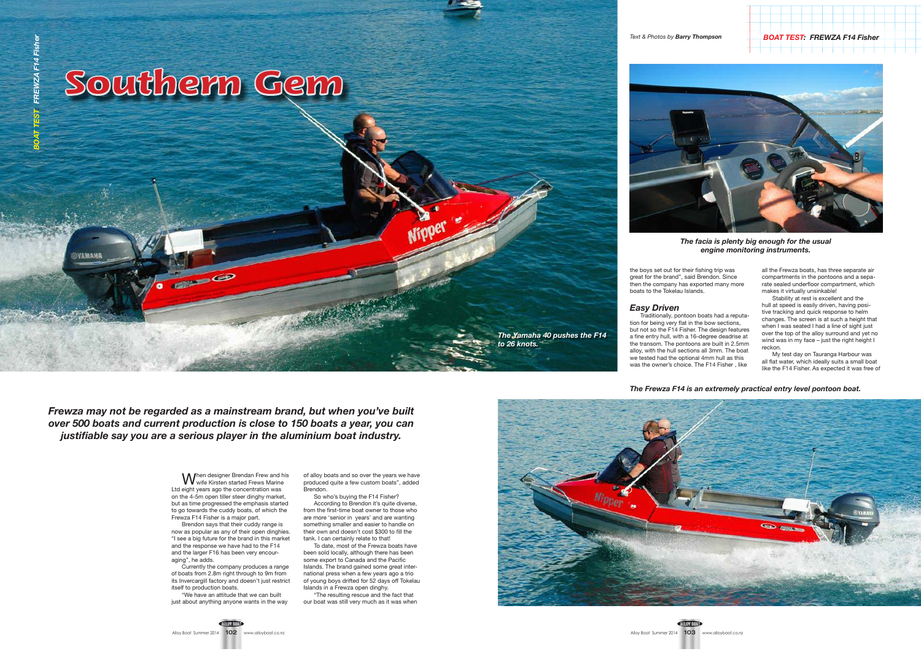**SYAMAHI** 

*BOAT TEST: FREWZA F14 Fisher*

When designer Brendan Frew and his<br>Wwife Kirsten started Frews Marine Ltd eight years ago the concentration was on the 4-5m open tiller steer dinghy market, but as time progressed the emphasis started to go towards the cuddy boats, of which the Frewza F14 Fisher is a major part.

of alloy boats and so over the years we have produced quite a few custom boats", added **Brendon** 

Brendon says that their cuddy range is now as popular as any of their open dinghies. "I see a big future for the brand in this market and the response we have had to the F14 and the larger F16 has been very encouraging", he adds.

Currently the company produces a range of boats from 2.8m right through to 9m from its Invercargill factory and doesn't just restrict itself to production boats.

"We have an attitude that we can built just about anything anyone wants in the way

So who's buying the F14 Fisher? According to Brendon it's quite diverse, from the first-time boat owner to those who are more 'senior in years' and are wanting something smaller and easier to handle on their own and doesn't cost \$300 to fill the tank. I can certainly relate to that!

To date, most of the Frewza boats have been sold locally, although there has been some export to Canada and the Pacific Islands. The brand gained some great international press when a few years ago a trio of young boys drifted for 52 days off Tokelau Islands in a Frewza open dinghy.

"The resulting rescue and the fact that our boat was still very much as it was when



*Frewza may not be regarded as a mainstream brand, but when you've built over 500 boats and current production is close to 150 boats a year, you can justifiable say you are a serious player in the aluminium boat industry.*

the boys set out for their fishing trip was great for the brand", said Brendon. Since then the company has exported many more boats to the Tokelau Islands.

## *Easy Driven*

Traditionally, pontoon boats had a reputation for being very flat in the bow sections, but not so the F14 Fisher. The design features a fine entry hull, with a 16-degree deadrise at the transom. The pontoons are built in 2.5mm alloy, with the hull sections all 3mm. The boat we tested had the optional 4mm hull as this was the owner's choice. The F14 Fisher , like

all the Frewza boats, has three separate air compartments in the pontoons and a separate sealed underfloor compartment, which makes it virtually unsinkable!

Stability at rest is excellent and the hull at speed is easily driven, having positive tracking and quick response to helm changes. The screen is at such a height that when I was seated I had a line of sight just over the top of the alloy surround and yet no wind was in my face – just the right height I reckon.

My test day on Tauranga Harbour was all flat water, which ideally suits a small boat like the F14 Fisher. As expected it was free of

*The Frewza F14 is an extremely practical entry level pontoon boat.*

*The Yamaha 40 pushes the F14* 

*to 26 knots.*

## Southern Gem

O



*The facia is plenty big enough for the usual engine monitoring instruments.*